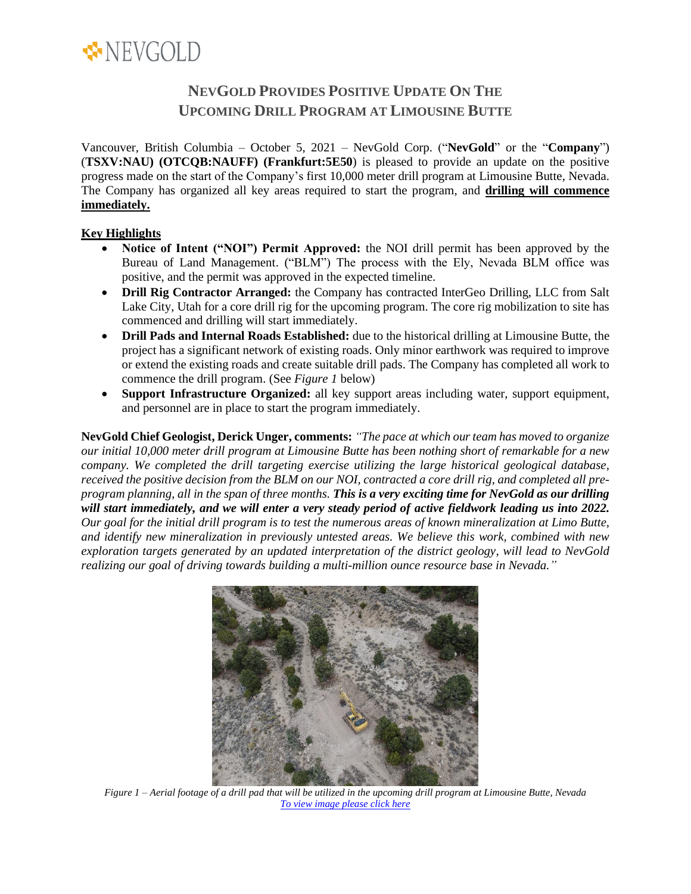

# **NEVGOLD PROVIDES POSITIVE UPDATE ON THE UPCOMING DRILL PROGRAM AT LIMOUSINE BUTTE**

Vancouver, British Columbia – October 5, 2021 – NevGold Corp. ("**NevGold**" or the "**Company**") (**TSXV:NAU) (OTCQB:NAUFF) (Frankfurt:5E50**) is pleased to provide an update on the positive progress made on the start of the Company's first 10,000 meter drill program at Limousine Butte, Nevada. The Company has organized all key areas required to start the program, and **drilling will commence immediately.**

## **Key Highlights**

- **Notice of Intent ("NOI") Permit Approved:** the NOI drill permit has been approved by the Bureau of Land Management. ("BLM") The process with the Ely, Nevada BLM office was positive, and the permit was approved in the expected timeline.
- **Drill Rig Contractor Arranged:** the Company has contracted InterGeo Drilling, LLC from Salt Lake City, Utah for a core drill rig for the upcoming program. The core rig mobilization to site has commenced and drilling will start immediately.
- **Drill Pads and Internal Roads Established:** due to the historical drilling at Limousine Butte, the project has a significant network of existing roads. Only minor earthwork was required to improve or extend the existing roads and create suitable drill pads. The Company has completed all work to commence the drill program. (See *Figure 1* below)
- **Support Infrastructure Organized:** all key support areas including water, support equipment, and personnel are in place to start the program immediately.

**NevGold Chief Geologist, Derick Unger, comments:** *"The pace at which our team has moved to organize our initial 10,000 meter drill program at Limousine Butte has been nothing short of remarkable for a new company. We completed the drill targeting exercise utilizing the large historical geological database, received the positive decision from the BLM on our NOI, contracted a core drill rig, and completed all preprogram planning, all in the span of three months. This is a very exciting time for NevGold as our drilling will start immediately, and we will enter a very steady period of active fieldwork leading us into 2022. Our goal for the initial drill program is to test the numerous areas of known mineralization at Limo Butte, and identify new mineralization in previously untested areas. We believe this work, combined with new exploration targets generated by an updated interpretation of the district geology, will lead to NevGold realizing our goal of driving towards building a multi-million ounce resource base in Nevada."*



*Figure 1 – Aerial footage of a drill pad that will be utilized in the upcoming drill program at Limousine Butte, Nevada [To view image please click here](https://nev-gold.com/site/assets/files/7153/figure_-_drill_pad.900x0.jpg)*